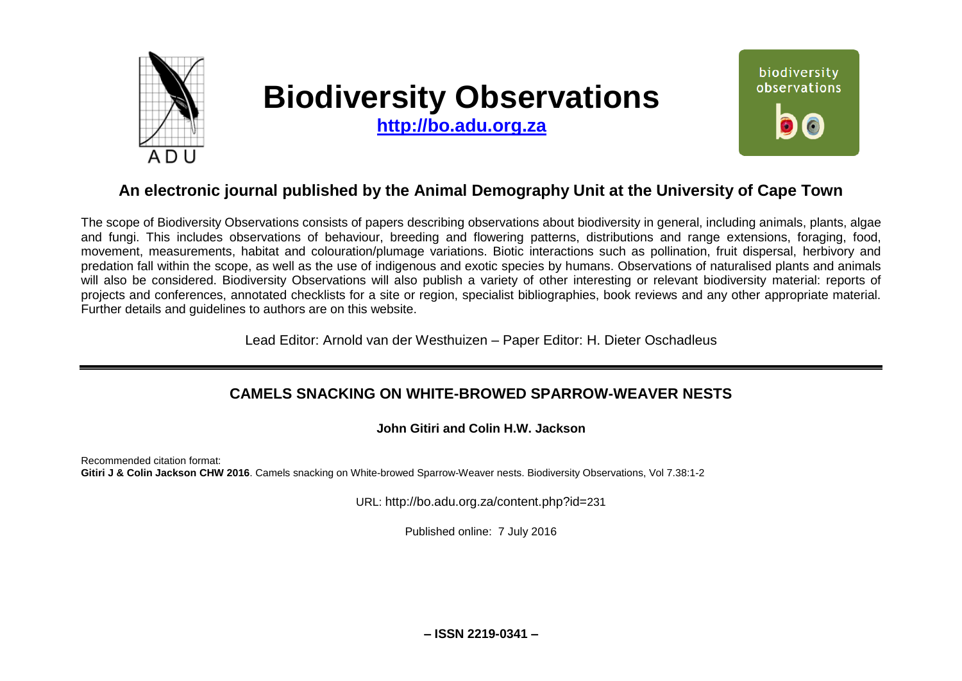

# **Biodiversity Observations**

**[http://bo.adu.org.za](http://bo.adu.org.za/)**



# **An electronic journal published by the Animal Demography Unit at the University of Cape Town**

The scope of Biodiversity Observations consists of papers describing observations about biodiversity in general, including animals, plants, algae and fungi. This includes observations of behaviour, breeding and flowering patterns, distributions and range extensions, foraging, food, movement, measurements, habitat and colouration/plumage variations. Biotic interactions such as pollination, fruit dispersal, herbivory and predation fall within the scope, as well as the use of indigenous and exotic species by humans. Observations of naturalised plants and animals will also be considered. Biodiversity Observations will also publish a variety of other interesting or relevant biodiversity material: reports of projects and conferences, annotated checklists for a site or region, specialist bibliographies, book reviews and any other appropriate material. Further details and guidelines to authors are on this website.

Lead Editor: Arnold van der Westhuizen – Paper Editor: H. Dieter Oschadleus

# **CAMELS SNACKING ON WHITE-BROWED SPARROW-WEAVER NESTS**

**John Gitiri and Colin H.W. Jackson**

Recommended citation format: **Gitiri J & Colin Jackson CHW 2016**. Camels snacking on White-browed Sparrow-Weaver nests. Biodiversity Observations, Vol 7.38:1-2

URL: http://bo.adu.org.za/content.php?id=231

Published online: 7 July 2016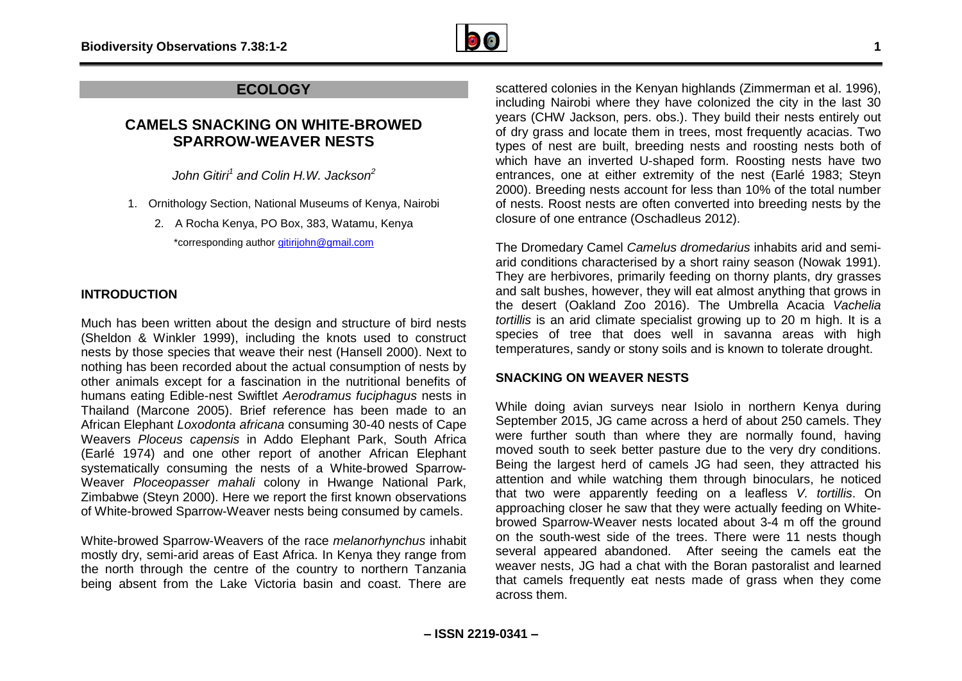

# **ECOLOGY**

## **CAMELS SNACKING ON WHITE-BROWED SPARROW-WEAVER NESTS**

*John Gitiri<sup>1</sup> and Colin H.W. Jackson<sup>2</sup>*

- 1. Ornithology Section, National Museums of Kenya, Nairobi
	- 2. A Rocha Kenya, PO Box, 383, Watamu, Kenya \*corresponding author [gitirijohn@gmail.com](mailto:gitirijohn@gmail.com)

## **INTRODUCTION**

Much has been written about the design and structure of bird nests (Sheldon & Winkler 1999), including the knots used to construct nests by those species that weave their nest (Hansell 2000). Next to nothing has been recorded about the actual consumption of nests by other animals except for a fascination in the nutritional benefits of humans eating Edible-nest Swiftlet *Aerodramus fuciphagus* nests in Thailand (Marcone 2005). Brief reference has been made to an African Elephant *Loxodonta africana* consuming 30-40 nests of Cape Weavers *Ploceus capensis* in Addo Elephant Park, South Africa (Earlé 1974) and one other report of another African Elephant systematically consuming the nests of a White-browed Sparrow-Weaver *Ploceopasser mahali* colony in Hwange National Park, Zimbabwe (Steyn 2000). Here we report the first known observations of White-browed Sparrow-Weaver nests being consumed by camels.

White-browed Sparrow-Weavers of the race *melanorhynchus* inhabit mostly dry, semi-arid areas of East Africa. In Kenya they range from the north through the centre of the country to northern Tanzania being absent from the Lake Victoria basin and coast. There are

scattered colonies in the Kenyan highlands (Zimmerman et al. 1996), including Nairobi where they have colonized the city in the last 30 years (CHW Jackson, pers. obs.). They build their nests entirely out of dry grass and locate them in trees, most frequently acacias. Two types of nest are built, breeding nests and roosting nests both of which have an inverted U-shaped form. Roosting nests have two entrances, one at either extremity of the nest (Earlé 1983; Steyn 2000). Breeding nests account for less than 10% of the total number of nests. Roost nests are often converted into breeding nests by the closure of one entrance (Oschadleus 2012).

The Dromedary Camel *Camelus dromedarius* inhabits arid and semiarid conditions characterised by a short rainy season (Nowak 1991). They are herbivores, primarily feeding on thorny plants, dry grasses and salt bushes, however, they will eat almost anything that grows in the desert (Oakland Zoo 2016). The Umbrella Acacia *Vachelia tortillis* is an arid climate specialist growing up to 20 m high. It is a species of tree that does well in savanna areas with high temperatures, sandy or stony soils and is known to tolerate drought.

#### **SNACKING ON WEAVER NESTS**

While doing avian surveys near Isiolo in northern Kenya during September 2015, JG came across a herd of about 250 camels. They were further south than where they are normally found, having moved south to seek better pasture due to the very dry conditions. Being the largest herd of camels JG had seen, they attracted his attention and while watching them through binoculars, he noticed that two were apparently feeding on a leafless *V. tortillis*. On approaching closer he saw that they were actually feeding on Whitebrowed Sparrow-Weaver nests located about 3-4 m off the ground on the south-west side of the trees. There were 11 nests though several appeared abandoned. After seeing the camels eat the weaver nests, JG had a chat with the Boran pastoralist and learned that camels frequently eat nests made of grass when they come across them.